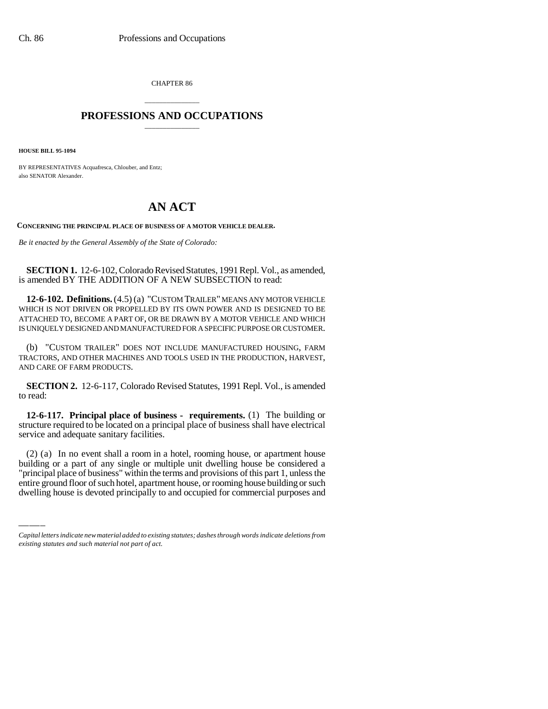CHAPTER 86

## \_\_\_\_\_\_\_\_\_\_\_\_\_\_\_ **PROFESSIONS AND OCCUPATIONS** \_\_\_\_\_\_\_\_\_\_\_\_\_\_\_

**HOUSE BILL 95-1094**

BY REPRESENTATIVES Acquafresca, Chlouber, and Entz; also SENATOR Alexander.

## **AN ACT**

**CONCERNING THE PRINCIPAL PLACE OF BUSINESS OF A MOTOR VEHICLE DEALER.**

*Be it enacted by the General Assembly of the State of Colorado:*

**SECTION 1.** 12-6-102, Colorado Revised Statutes, 1991 Repl. Vol., as amended, is amended BY THE ADDITION OF A NEW SUBSECTION to read:

**12-6-102. Definitions.** (4.5) (a) "CUSTOM TRAILER" MEANS ANY MOTOR VEHICLE WHICH IS NOT DRIVEN OR PROPELLED BY ITS OWN POWER AND IS DESIGNED TO BE ATTACHED TO, BECOME A PART OF, OR BE DRAWN BY A MOTOR VEHICLE AND WHICH IS UNIQUELY DESIGNED AND MANUFACTURED FOR A SPECIFIC PURPOSE OR CUSTOMER.

(b) "CUSTOM TRAILER" DOES NOT INCLUDE MANUFACTURED HOUSING, FARM TRACTORS, AND OTHER MACHINES AND TOOLS USED IN THE PRODUCTION, HARVEST, AND CARE OF FARM PRODUCTS.

**SECTION 2.** 12-6-117, Colorado Revised Statutes, 1991 Repl. Vol., is amended to read:

**12-6-117. Principal place of business - requirements.** (1) The building or structure required to be located on a principal place of business shall have electrical service and adequate sanitary facilities.

 $(2)$  (a) In no event sharp a fool in a hotel, fooling house, or apartment house<br>building or a part of any single or multiple unit dwelling house be considered a (2) (a) In no event shall a room in a hotel, rooming house, or apartment house "principal place of business" within the terms and provisions of this part 1, unless the entire ground floor of such hotel, apartment house, or rooming house building or such dwelling house is devoted principally to and occupied for commercial purposes and

*Capital letters indicate new material added to existing statutes; dashes through words indicate deletions from existing statutes and such material not part of act.*